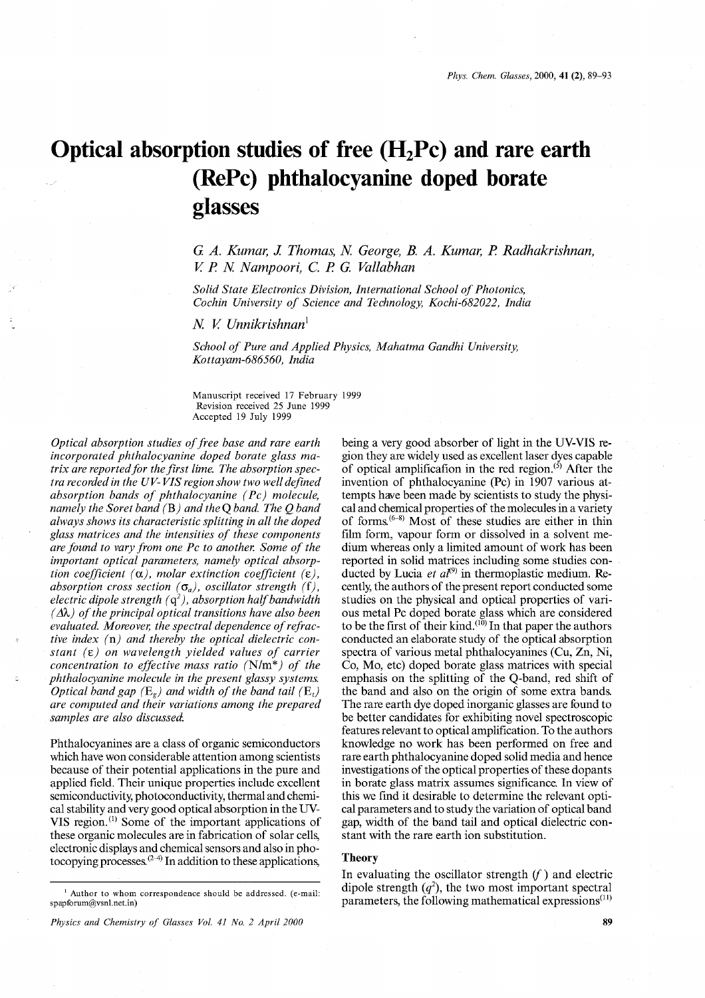# **Optical absorption studies of free (H2Pc) and rare earth (RePc) phthalocyanine doped borate glasses**

G *A. Kumar,* J. *Thomas, N George,* B. *A. Kumar, P Radhakrishnan, V P N Nampoori,* C. *P* G. *Vallabhan*

*Solid State Electronics Division, International School of Photonics, Coehin University of Science and Technology, Koehi-682022, India*

*N V Unnikrishnan'*

*School of Pure and Applied Physics, Mahatma Gandhi University, Kottayam-686560, India*

Manuscript received 17 February 1999 Revision received 25 June 1999 Accepted 19 July 1999

*Optical absorption studies offree base and rare earth incorporated phthalocyanine doped borate glass matrix* are reported for the first lime. The absorption spec*tra recorded in the UV- VIS region show two well defined absorption bands of phthalocyanine (Pc) molecule, namely the Soret band* (B) *and the* Q*band. The* Q*band always shows its characteristic splitting in all the doped glass matrices and the intensities of these components are found to vary from one Pc to another. Some of the important optical parameters, namely optical absorption coefficient*  $(\alpha)$ *, molar extinction coefficient*  $(\epsilon)$ *, absorption cross section*  $(\sigma_a)$ *, oscillator strength* (f), *electric dipole strength* ( $q^2$ ), *absorption half bandwidth*  $(\Delta \lambda)$  *of the principal optical transitions have also been evaluated. Moreover, the spectral dependence ofrefractive index* (n) *and thereby the optical dielectric constant (e) on wavelength yielded values of carrier concentration to effective mass ratio* (N/m\*) *of the phthalocyanine molecule in the present glassy systems. Optical band gap*  $(E_g)$  *and width of the band tail*  $(E_t)$ *are computed and their variations among the prepared samples are also discussed:*

Phthalocyanines are a class of organic semiconductors which have won considerable attention among scientists because of their potential applications in the pure and applied field. Their unique properties include excellent semiconductivity, photoconductivity, thermal and chemical stability and very good optical absorption in the UV-VIS region.<sup>(1)</sup> Some of the important applications of these organic molecules are in fabrication of solar cells, electronic displays and chemical sensors and also in photocopying processes.(2-4) **In** addition to these applications,

*Physics and Chemistry of Glasses Vol.* 41 *No.* 2 *April 2000*

being a very good absorber of light in the UV-VIS region they are widely used as excellent laser dyes capable of optical amplification in the red region. $(5)$  After the invention of phthalocyanine (Pc) in 1907 various attempts have been made by scientists to study the physical and chemical properties of the molecules in a variety of forms.(6-8) Most of these studies are either in thin film form, vapour form or dissolved in a solvent medium whereas only a limited amount of work has been reported in solid matrices including some studies conducted by Lucia *et al*<sup>(9)</sup> in thermoplastic medium. Recently, the authors of the present report conducted some studies on the physical and optical properties of various metal Pc doped borate glass which are considered to be the first of their kind.<sup>(10)</sup> In that paper the authors conducted an elaborate study of the optical absorption spectra of various metal phthalocyanines (Cu, Zn, Ni, Co, Mo, etc) doped borate glass matrices with special emphasis on the splitting of the Q-band, red shift of the band and also on the origin of some extra bands. The rare earth dye doped inorganic glasses are found to be better candidates for exhibiting novel spectroscopic features relevant to optical amplification. To the authors knowledge no work has been performed on free and rare earth phthalocyanine doped solid media and hence investigations of the optical properties of these dopants in borate glass matrix assumes significance. **In** view of this we find it desirable to determine the relevant optical parameters and to study the variation of optical band gap, width of the band tail and optical dielectric constant with the rare earth ion substitution.

# **Theory**

**In** evaluating the oscillator strength *if)* and electric dipole strength  $(q^2)$ , the two most important spectral parameters, the following mathematical expressions $^{(11)}$ 

 $1$  Author to whom correspondence should be addressed. (e-mail: spapforum@vsnl.net.in)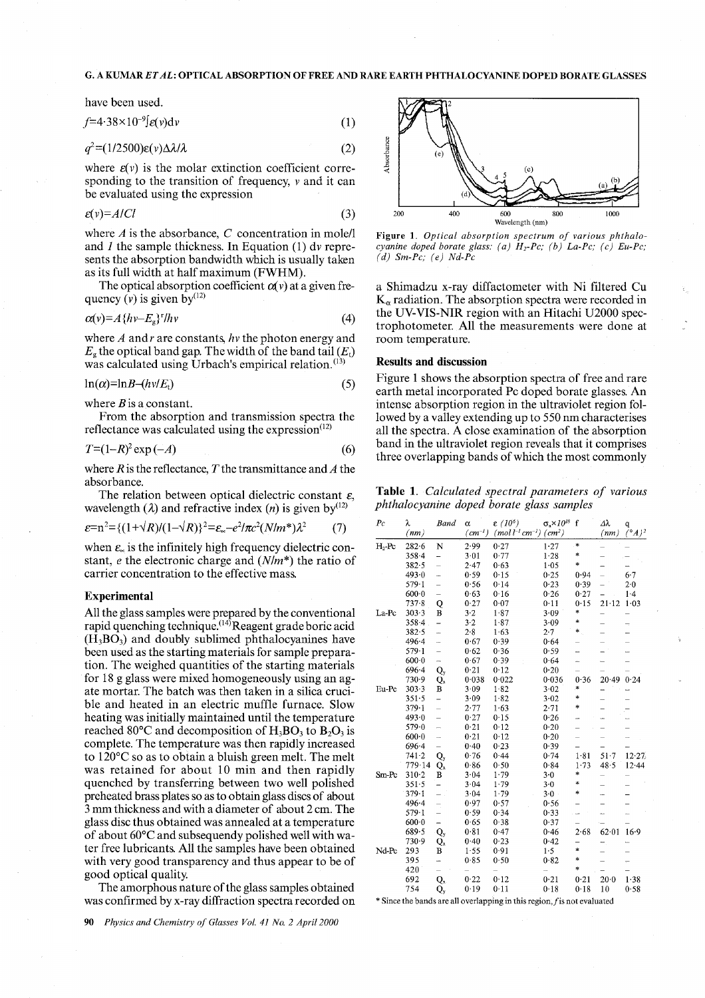### G. A KUMAR *ETAL:* OPTICAL ABSORPTION OF FREE AND RARE EARTH PHTHALOCYANINE DOPED BORATE GLASSES

have been used.

$$
f=4.38\times10^{-9}f\epsilon(v)dv\tag{1}
$$

$$
q^2 = (1/2500)\varepsilon(v)\Delta\lambda/\lambda\tag{2}
$$

where  $\varepsilon(v)$  is the molar extinction coefficient corresponding to the transition of frequency, *v* and it can be evaluated using the expression

$$
\varepsilon(v) = A/Cl \tag{3}
$$

where  $A$  is the absorbance,  $C$  concentration in mole/l and *1* the sample thickness. In Equation (1) *dv* represents the absorption bandwidth which is usually taken as its full width at half maximum (FWHM).

The optical absorption coefficient  $\alpha(v)$  at a given frequency  $\overline{(v)}$  is given  $\overline{by}^{(12)}$ 

$$
\alpha(v) = A \{ hv - E_g \}^r / hv \tag{4}
$$

where A andr are constants, hv the photon energy and  $E_g$  the optical band gap. The width of the band tail  $(E_t)$ was calculated using Urbach's empirical relation.<sup>(13)</sup>

$$
\ln(\alpha) = \ln B - (h\nu/E_t) \tag{5}
$$

where *B* is a constant.

From the absorption and transmission spectra the reflectance was calculated using the expression $(12)$ 

$$
T=(1-R)^2\exp\left(-A\right) \tag{6}
$$

where *R* is the reflectance, *T* the transmittance and *A* the absorbance.

The relation between optical dielectric constant  $\varepsilon$ , wavelength ( $\lambda$ ) and refractive index (*n*) is given by<sup>(12)</sup>

$$
\varepsilon = n^2 = \{ (1 + \sqrt{R})/(1 - \sqrt{R}) \}^2 = \varepsilon_{\infty} - e^2 / \pi c^2 (N/m^*) \lambda^2 \tag{7}
$$

when  $\varepsilon_{\infty}$  is the infinitely high frequency dielectric constant, *e* the electronic charge and *(Nlm\*)* the ratio of carrier concentration to the effective mass.

#### **Experimental**

All the glass samples were prepared by the conventional rapid quenching technique.<sup>(14)</sup>Reagent grade boric acid  $(H_3BO_3)$  and doubly sublimed phthalocyanines have been used as the starting materials for sample preparation. The weighed quantities of the starting materials for 18 g glass were mixed homogeneously using an agate mortar. The batch was then taken in a silica crucible and heated in an electric muffle furnace. Slow heating was initially maintained until the temperature reached 80 $^{\circ}$ C and decomposition of H<sub>3</sub>BO<sub>3</sub> to B<sub>2</sub>O<sub>3</sub> is complete. The temperature was then rapidly increased to 120°C so as to obtain a bluish green melt. The melt was retained for about 10 min and then rapidly quenched by transferring between two well polished preheated brass plates so as to obtain glass discs of about 3 mm thickness and with a diameter of about 2 cm. The glass disc thus obtained was annealed at a temperature of about 60°C and subsequendy polished well with water free lubricants. All the samples have been obtained with very good transparency and thus appear to be of good optical quality.

The amorphous nature of the glass samples obtained was confirmed by x-ray diffraction spectra recorded on



Figure 1. *Optical absorption spectrum of various phthalocyanine doped borate glass: (a) Hi-Pc; (b) La-Pc; (c) Eu-Pc; (d) Sm-Pc; (e) Nd-Pc*

a Shimadzu x-ray diffactometer with Ni filtered Cu  $K_{\alpha}$  radiation. The absorption spectra were recorded in the UV-VIS-NIR region with an Hitachi U2000 spectrophotometer. All the measurements were done at room temperature.

### Results and discussion

Figure 1 shows the absorption spectra of free and rare earth metal incorporated Pc doped borate glasses. An intense absorption region in the ultraviolet region followed by a valley extending up to 550 nm characterises all the spectra. A close examination of the absorption band in the ultraviolet region reveals that it comprises three overlapping bands of which the most commonly

Table 1. *Calculated spectral parameters of various phthalocyanine doped borate glass samples*

| $P_{\mathcal{C}}$ | λ<br>(nm) | <b>Band</b>              | α<br>$(cm^{-1})$ | $\epsilon$ (10 <sup>6</sup> )<br>$(mol l^{-1}cm^{-1})$ $(cm2)$ | $\sigma_{\rm a} \times 10^{18}$ | $\mathbf f$ | $\Delta \lambda$<br>(nm) | q<br>$\bar{({}^\circ A)^2}$ |
|-------------------|-----------|--------------------------|------------------|----------------------------------------------------------------|---------------------------------|-------------|--------------------------|-----------------------------|
| $H_2$ -Pc         | $282 - 6$ | N                        | 2.99             | 0.27                                                           | 1.27                            | $\ast$      |                          |                             |
|                   | $358 - 4$ | -                        | 3.01             | 0.77                                                           | 1.28                            | $\ast$      |                          |                             |
|                   | $382 - 5$ | $\overline{a}$           | $2 - 47$         | 0.63                                                           | 1.05                            | $\ast$      |                          |                             |
|                   | $493 - 0$ | j.                       | 0.59             | 0.15                                                           | 0.25                            | 0.94        |                          | $6-7$                       |
|                   | $579 - 1$ | $\overline{a}$           | 0.56             | 0.14                                                           | 0.23                            | 0.39        |                          | 2.0                         |
|                   | $600 - 0$ | $\overline{\phantom{0}}$ | 0.63             | 0.16                                                           | 0.26                            | 0.27        |                          | 1.4                         |
|                   | $737 - 8$ | Q                        | 0.27             | 0.07                                                           | 0.11                            | 0.15        | $21 - 12$                | 1.03                        |
| La-Pc             | 303.3     | B                        | 3.2              | 1.87                                                           | 3.09                            | *           |                          |                             |
|                   | $358 - 4$ | $\overline{\phantom{0}}$ | $3 - 2$          | 1.87                                                           | 3.09                            | *           | $\overline{ }$           | $\overline{\phantom{a}}$    |
|                   | 382.5     | ÷,                       | $2 - 8$          | 1.63                                                           | $2 - 7$                         | $\ast$ .    |                          |                             |
|                   | 496.4     | L.                       | 0.67             | 0.39                                                           | 0.64                            |             |                          |                             |
|                   | $579 - 1$ | $\overline{a}$           | 0.62             | 0.36                                                           | 0.59                            |             |                          |                             |
|                   | 6000      | $\rightarrow$            | 0.67             | 0.39                                                           | 0.64                            |             |                          |                             |
|                   | 6964      | $\mathbf{Q}_\mathbf{y}$  | 0.21             | 0.12                                                           | 0.20                            |             |                          |                             |
|                   | 730.9     | Q,                       | 0.038            | 0.022                                                          | 0.036                           | 0.36        | $20-49$                  | 0.24                        |
| Eu-Pc             | $303 - 3$ | в                        | 3.09             | 1.82                                                           | 3.02                            | $\ast$      | -                        |                             |
|                   | 351.5     | $\overline{\phantom{0}}$ | 3.09             | 1.82                                                           | 3.02                            | *           | -                        |                             |
|                   | 379.1     | $\overline{\phantom{0}}$ | 2.77             | 1.63                                                           | 2.71                            | \$          |                          |                             |
|                   | 493.0     | $\overline{\phantom{0}}$ | 0.27             | 0.15                                                           | 0.26                            | <u></u>     |                          |                             |
|                   | 579.0     | $\overline{\phantom{0}}$ | $0 - 21$         | 0.12                                                           | 0.20                            |             |                          |                             |
|                   | $600 - 0$ | $\overline{\phantom{0}}$ | 0.21             | 0.12                                                           | 0.20                            |             |                          |                             |
|                   | $696 - 4$ | $\overline{\phantom{0}}$ | 0.40             | $0 - 23$                                                       | 0.39                            |             |                          |                             |
|                   | 741.2     | Q,                       | 0.76             | 0.44                                                           | 0.74                            | 1.81        | 51.7                     | 12.27                       |
|                   | 779.14    | $Q_x$                    | 0.86             | 0.50                                                           | 0.84                            | 1.73        | 48.5                     | 12.44                       |
| Sm Pc             | 310-2     | B                        | $3 - 04$         | $1 - 79$                                                       | 3.0                             | *           | -                        |                             |
|                   | $351 - 5$ |                          | 3.04             | 1.79                                                           | 3.0                             | *           |                          |                             |
|                   | 379.1     | $\overline{\phantom{0}}$ | 3.04             | 1.79                                                           | $3.0 -$                         | *           | --                       |                             |
|                   | 496.4     | Ť,                       | 0.97             | 0.57                                                           | 0.56                            |             |                          |                             |
|                   | $579 - 1$ | $\overline{\phantom{0}}$ | 0.59             | 0.34                                                           | 0.33                            |             |                          | L,                          |
|                   | $600 - 0$ |                          | 0.65             | 0.38                                                           | 0.37                            |             |                          |                             |
|                   | 689.5     | Q.                       | 0.81             | 0.47                                                           | 0.46                            | 2.68        | 62 01                    | 16.9                        |
|                   | 730.9     | Q,                       | 0.40             | 0.23                                                           | 0.42                            |             | ۳.                       |                             |
| Nd-Pc             | 293       | в                        | 1.55             | 0.91                                                           | 1.5                             | $\ast$      |                          |                             |
|                   | 395       | -                        | 0.85             | 0.50                                                           | 0.82                            | $\ast$      |                          | $\equiv$                    |
|                   | 420       | $\overline{\phantom{0}}$ |                  |                                                                |                                 | $\ast$      |                          |                             |
|                   | 692       | $Q_x$                    | 0.22             | 0.12                                                           | 0.21                            | 0.21        | $20 - 0$                 | 1.38                        |
|                   | 754       | Q,                       | 0.19             | 0.11                                                           | 0.18                            | 0.18        | 10                       | 0.58                        |

 $*$  Since the bands are all overlapping in this region,  $f$  is not evaluated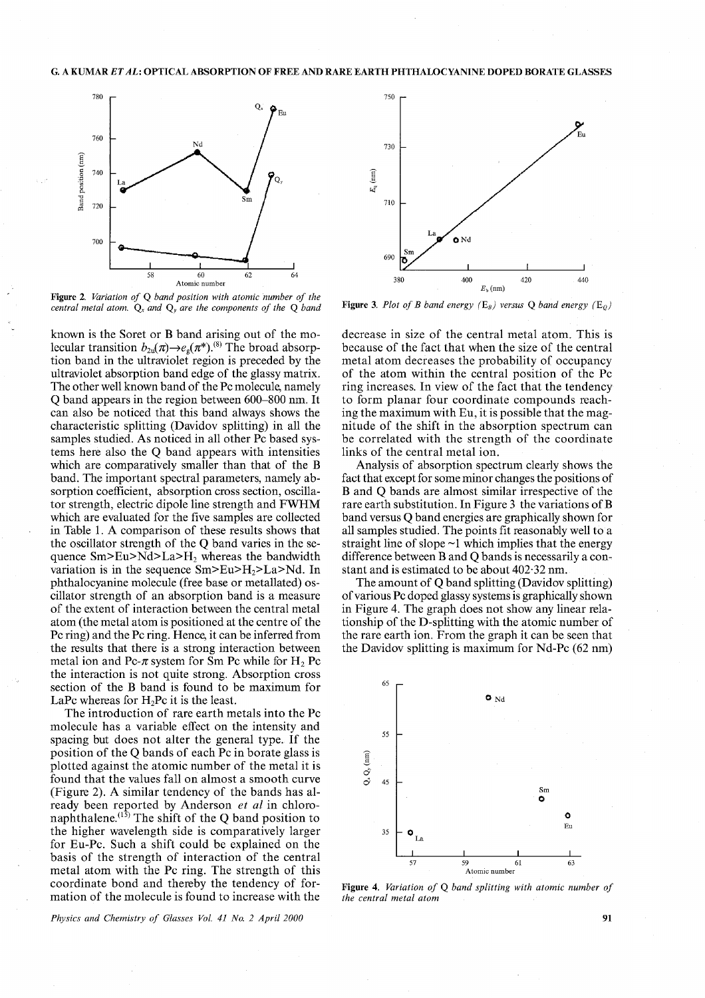

Figure 2. *Variation of* Q *band position with atomic number of the central metal atom.*  $Q_x$  *and*  $Q_y$  *are the components of the*  $Q$  *band* 

known is the Soret or B band arising out of the molecular transition  $b_{2u}(\pi) \rightarrow e_g(\pi^*)$ .<sup>(8)</sup> The broad absorption band in the ultraviolet region is preceded by the ultraviolet absorption band edge of the glassy matrix. The other well known band of the Pc molecule, namely Qband appears in the region between 600-800 nm. It can also be noticed that this band always shows the characteristic splitting (Davidov splitting) in all the samples studied. As noticed in all other Pc based systems here also the Q band appears with intensities which are comparatively smaller than that of the B band. The important spectral parameters, namely absorption coefficient, absorption cross section, oscillator strength, electric dipole line strength and FWHM which are evaluated for the five samples are collected in Table 1. A comparison of these results shows that the oscillator strength of the Q band varies in the sequence Sm>Eu>Nd>La>H2 whereas the bandwidth variation is in the sequence  $Sm>Eu>H_2>La>Md$ . In phthalocyanine molecule (free base or metallated) oscillator strength of an absorption band is a measure of the extent of interaction between the central metal atom (the metal atom is positioned at the centre of the Pc ring) and the Pc ring. Hence, it can be inferred from the results that there is a strong interaction between metal ion and Pc- $\pi$  system for Sm Pc while for H<sub>2</sub> Pc the interaction is not quite strong. Absorption cross section of the B band is found to be maximum for LaPc whereas for  $H_2$ Pc it is the least.

The introduction of rare earth metals into the Pc molecule has a variable effect on the intensity and spacing but does not alter the general type. If the position of the Q bands of each Pc in borate glass is plotted against the atomic number of the metal it is found that the values fall on almost a smooth curve (Figure 2). A similar tendency of the bands has already been reported by Anderson *et at* in chloronaphthalene.  $(1\bar{5})$  The shift of the Q band position to the higher wavelength side is comparatively larger for Eu-Pc. Such a shift could be explained on the basis of the strength of interaction of the central metal atom with the Pc ring. The strength of this coordinate bond and thereby the tendency of formation of the molecule is found to increase with the

*Physics and Chemistry of Glasses Vol.* 41 *No.* 2 *April 2000* 91



Figure 3. *Plot of B band energy*  $(E_B)$  *versus* Q *band energy*  $(E_O)$ 

decrease in size of the central metal atom. This is because of the fact that when the size of the central metal atom decreases the probability of occupancy of the atom within the central position of the Pc ring increases. In view of the fact that the tendency to form planar four coordinate compounds reaching the maximum with Eu, it is possible that the magnitude of the shift in the absorption spectrum can be correlated with the strength of the coordinate links of the central metal ion.

Analysis of absorption spectrum clearly shows the fact that except for some minor changes the positions of Band Q bands are almost similar irrespective of the rare earth substitution. In Figure 3 the variations of B band versus Qband energies are graphically shown for all samples studied. The points fit reasonably well to a straight line of slope  $\sim$ 1 which implies that the energy difference between Band Q bands is necessarily a constant and is estimated to be about 402·32 nm.

The amount of Q band splitting (Davidov splitting) of various Pc doped glassy systems is graphically shown in Figure 4. The graph does not show any linear relationship of the D-splitting with the atomic number of the rare earth ion. From the graph it can be seen that the Davidov splitting is maximum for Nd-Pc (62 nm)



Figure 4. *Variation of* Q *band splitting with atomic number of the central metal atom*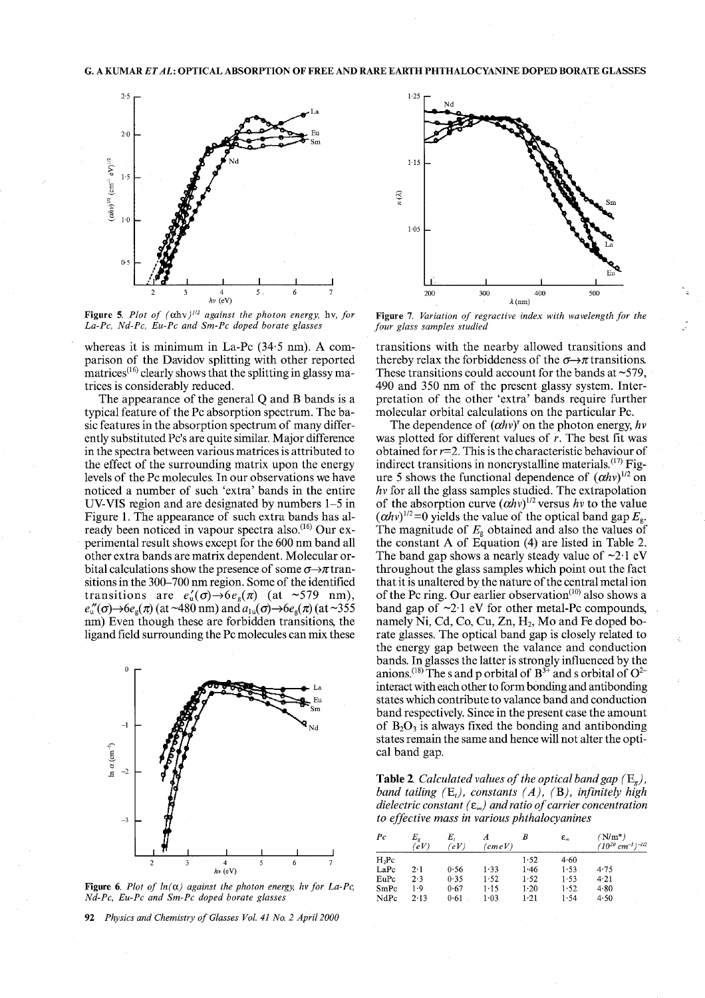

Figure 5. Plot of  $(\alpha h v)^{1/2}$  against the photon energy, hv, for *La-Pc, Nd-Pc, Eu-Pc and Sm-Pc doped borate glasses*

whereas it is minimum in La-Pc (34'5 nm). A comparison of the Davidov splitting with other reported matrices<sup> $(16)$ </sup> clearly shows that the splitting in glassy matrices is considerably reduced.

The appearance of the general Q and B bands is a typical feature of the Pc absorption spectrum. The basic features in the absorption spectrum of many differently substituted Pc's are quite similar. Major difference in the spectra between various matrices is attributed to the effect of the surrounding matrix upon the energy levels of the Pc molecules. In our observations we have noticed a number of such 'extra' bands in the entire UV-VIS region and are designated by numbers 1-5 in Figure 1. The appearance of such extra bands has already been noticed in vapour spectra also. $^{(16)}$  Our experimental result shows except for the 600 nm band all other extra bands are matrix dependent. Molecular orbital calculations show the presence of some  $\sigma \rightarrow \pi$  transitions in the 300-700 nm region. Some of the identified transitions are  $e_{\rm n}'(\sigma) \rightarrow 6e_{\rm s}(\pi)$  (at ~579 nm),  $e''_{\rm u}(\sigma) \rightarrow 6e_{\rm g}(\pi)$  (at ~480 nm) and  $a_{\rm lu}(\sigma) \rightarrow 6e_{\rm g}(\pi)$  (at ~355 nm) Even though these are forbidden transitions, the ligand field surrounding the Pc molecules can mix these



Figure 6. Plot of  $ln(\alpha)$  against the photon energy, hv for La-Pc, *Nd-Pc, Eu-Pc and Sm-Pc doped borate glasses* 

92 *Physics and Chemistry of Glasses Vo!.* 41 *No.* 2 *April 2000*



Figure 7. *Variation of regractive index with wavelength for the four glass samples studied*

transitions with the nearby allowed transitions and thereby relax the forbiddeness of the  $\sigma \rightarrow \pi$  transitions. These transitions could account for the bands at  $\sim$ 579, 490 and 350 nm of the present glassy system. Interpretation of the other 'extra' bands require further molecular orbital calculations on the particular Pc.

The dependence of  $(\alpha h v)^r$  on the photon energy,  $h v$ was plotted for different values of  $r$ . The best fit was obtained for *r=2.* This is the characteristic behaviour of indirect transitions in noncrystalline materials. $^{(17)}$  Figure 5 shows the functional dependence of  $(\alpha h v)^{1/2}$  on *hv* for all the glass samples studied. The extrapolation of the absorption curve  $(\alpha h v)^{1/2}$  versus *hv* to the value  $(\alpha h v)^{1/2}$ =0 yields the value of the optical band gap  $E_{\rm g}$ . The magnitude of  $E<sub>g</sub>$  obtained and also the values of the constant A of Equation (4) are listed in Table 2. The band gap shows a nearly steady value of  $\sim 2.1$  eV throughout the glass samples which point out the fact that it is unaltered by the nature of the central metal ion of the Pc ring. Our earlier observation $(10)$  also shows a band gap of  $\sim$ 2.1 eV for other metal-Pc compounds, namely Ni, Cd, Co, Cu, Zn,  $H_2$ , Mo and Fe doped borate glasses. The optical band gap is closely related to the energy gap between the valance and conduction bands. In glasses the latter is strongly influenced by the anions.<sup>(18)</sup> The s and p orbital of  $B^{3+}$  and s orbital of  $O^{2-}$ interact with each other to form bonding and antibonding states which contribute to valance band and conduction band respectively. Since in the present case the amount of  $B_2O_3$  is always fixed the bonding and antibonding states remain the same and hence will not alter the optical band gap.

**Table 2.** Calculated values of the optical band gap  $(E_g)$ , *band tailing* (E,), *constants (A),* (B), *infinitely high dielectric constant (e.) and ratio ofcarrier concentration to effective mass in various phthalocyanines*

|                                                         |  |  |  | $_{Pc}$   | 'eV         | Ε,<br>'eV. | (cmeV)   | В        | $\epsilon_{\infty}$ | $^{\prime}{\rm N/m^*}$<br>$(10^{20}$ cm <sup>-3</sup> ) <sup>-1/2</sup> |
|---------------------------------------------------------|--|--|--|-----------|-------------|------------|----------|----------|---------------------|-------------------------------------------------------------------------|
|                                                         |  |  |  | $H2$ $PC$ |             |            |          | 1.52     | 4.60                |                                                                         |
| $hv$ (eV)                                               |  |  |  | LaPc      | $2 \cdot 1$ | 0.56       | l 33     | 1.46     | 1.53                | 4.75                                                                    |
|                                                         |  |  |  | EuPc      | 2.3         | 0.35       | 1.52     | $1 - 52$ | $1 - 53$            | $4 - 21$                                                                |
| t the photon energy, hy for La-Pc,<br>ed borate glasses |  |  |  | SmPc      | 1.9         | 0.67       | 1-15     | $1-20$   | 1.52                | 4.80                                                                    |
|                                                         |  |  |  | NdPc      | 2.13        | $0 - 61$   | $1 - 03$ | $1 - 21$ | 1.54                | 4.50                                                                    |
|                                                         |  |  |  |           |             |            |          |          |                     |                                                                         |